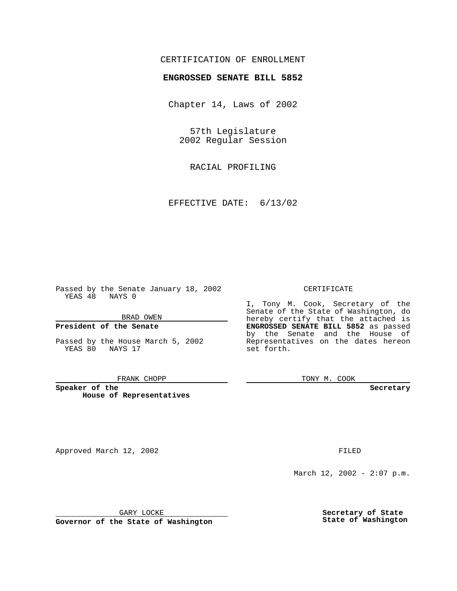# CERTIFICATION OF ENROLLMENT

# **ENGROSSED SENATE BILL 5852**

Chapter 14, Laws of 2002

57th Legislature 2002 Regular Session

RACIAL PROFILING

EFFECTIVE DATE: 6/13/02

Passed by the Senate January 18, 2002 YEAS 48 NAYS 0

### BRAD OWEN

### **President of the Senate**

Passed by the House March 5, 2002 YEAS 80 NAYS 17

#### FRANK CHOPP

**Speaker of the House of Representatives**

Approved March 12, 2002 **FILED** 

### CERTIFICATE

I, Tony M. Cook, Secretary of the Senate of the State of Washington, do hereby certify that the attached is **ENGROSSED SENATE BILL 5852** as passed by the Senate and the House of Representatives on the dates hereon set forth.

TONY M. COOK

**Secretary**

March 12, 2002 - 2:07 p.m.

GARY LOCKE

**Governor of the State of Washington**

**Secretary of State State of Washington**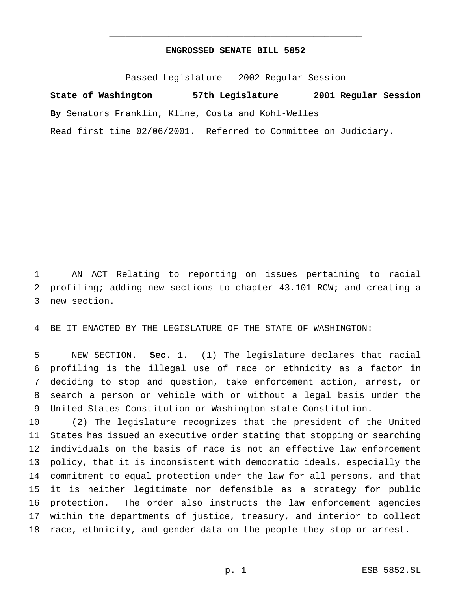# **ENGROSSED SENATE BILL 5852** \_\_\_\_\_\_\_\_\_\_\_\_\_\_\_\_\_\_\_\_\_\_\_\_\_\_\_\_\_\_\_\_\_\_\_\_\_\_\_\_\_\_\_\_\_\_\_

\_\_\_\_\_\_\_\_\_\_\_\_\_\_\_\_\_\_\_\_\_\_\_\_\_\_\_\_\_\_\_\_\_\_\_\_\_\_\_\_\_\_\_\_\_\_\_

Passed Legislature - 2002 Regular Session

**State of Washington 57th Legislature 2001 Regular Session By** Senators Franklin, Kline, Costa and Kohl-Welles Read first time 02/06/2001. Referred to Committee on Judiciary.

 AN ACT Relating to reporting on issues pertaining to racial profiling; adding new sections to chapter 43.101 RCW; and creating a new section.

BE IT ENACTED BY THE LEGISLATURE OF THE STATE OF WASHINGTON:

 NEW SECTION. **Sec. 1.** (1) The legislature declares that racial profiling is the illegal use of race or ethnicity as a factor in deciding to stop and question, take enforcement action, arrest, or search a person or vehicle with or without a legal basis under the United States Constitution or Washington state Constitution.

 (2) The legislature recognizes that the president of the United States has issued an executive order stating that stopping or searching individuals on the basis of race is not an effective law enforcement policy, that it is inconsistent with democratic ideals, especially the commitment to equal protection under the law for all persons, and that it is neither legitimate nor defensible as a strategy for public protection. The order also instructs the law enforcement agencies within the departments of justice, treasury, and interior to collect race, ethnicity, and gender data on the people they stop or arrest.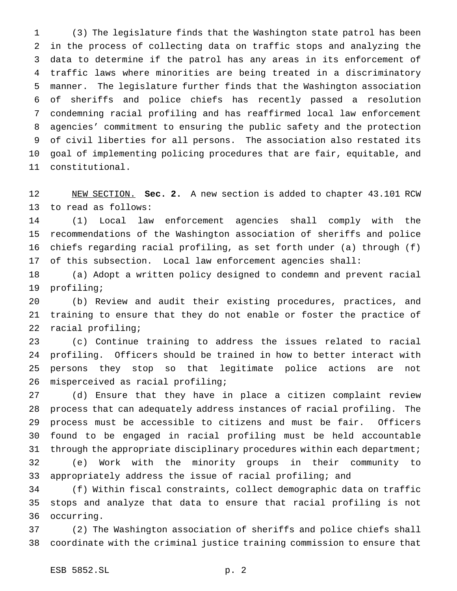(3) The legislature finds that the Washington state patrol has been in the process of collecting data on traffic stops and analyzing the data to determine if the patrol has any areas in its enforcement of traffic laws where minorities are being treated in a discriminatory manner. The legislature further finds that the Washington association of sheriffs and police chiefs has recently passed a resolution condemning racial profiling and has reaffirmed local law enforcement agencies' commitment to ensuring the public safety and the protection of civil liberties for all persons. The association also restated its goal of implementing policing procedures that are fair, equitable, and constitutional.

 NEW SECTION. **Sec. 2.** A new section is added to chapter 43.101 RCW to read as follows:

 (1) Local law enforcement agencies shall comply with the recommendations of the Washington association of sheriffs and police chiefs regarding racial profiling, as set forth under (a) through (f) of this subsection. Local law enforcement agencies shall:

 (a) Adopt a written policy designed to condemn and prevent racial profiling;

 (b) Review and audit their existing procedures, practices, and training to ensure that they do not enable or foster the practice of racial profiling;

 (c) Continue training to address the issues related to racial profiling. Officers should be trained in how to better interact with persons they stop so that legitimate police actions are not misperceived as racial profiling;

 (d) Ensure that they have in place a citizen complaint review process that can adequately address instances of racial profiling. The process must be accessible to citizens and must be fair. Officers found to be engaged in racial profiling must be held accountable 31 through the appropriate disciplinary procedures within each department; (e) Work with the minority groups in their community to appropriately address the issue of racial profiling; and

 (f) Within fiscal constraints, collect demographic data on traffic stops and analyze that data to ensure that racial profiling is not occurring.

 (2) The Washington association of sheriffs and police chiefs shall coordinate with the criminal justice training commission to ensure that